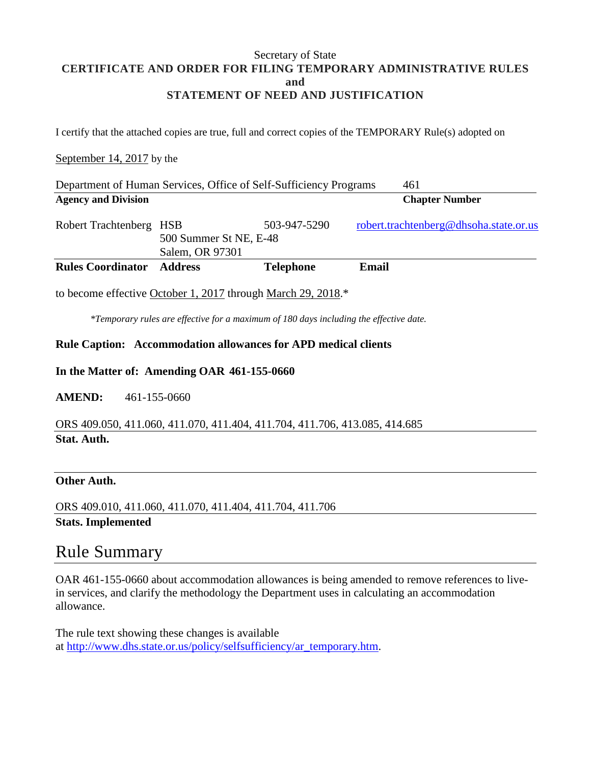### Secretary of State **CERTIFICATE AND ORDER FOR FILING TEMPORARY ADMINISTRATIVE RULES and STATEMENT OF NEED AND JUSTIFICATION**

I certify that the attached copies are true, full and correct copies of the TEMPORARY Rule(s) adopted on

### September 14, 2017 by the

| Department of Human Services, Office of Self-Sufficiency Programs |                                           |                  | 461                                    |
|-------------------------------------------------------------------|-------------------------------------------|------------------|----------------------------------------|
| <b>Agency and Division</b>                                        |                                           |                  | <b>Chapter Number</b>                  |
| Robert Trachtenberg HSB                                           | 500 Summer St NE, E-48<br>Salem, OR 97301 | 503-947-5290     | robert.trachtenberg@dhsoha.state.or.us |
| <b>Rules Coordinator</b>                                          | <b>Address</b>                            | <b>Telephone</b> | Email                                  |

to become effective October 1, 2017 through March 29, 2018.\*

*\*Temporary rules are effective for a maximum of 180 days including the effective date.*

### **Rule Caption: Accommodation allowances for APD medical clients**

### **In the Matter of: Amending OAR 461-155-0660**

**AMEND:** 461-155-0660

ORS 409.050, 411.060, 411.070, 411.404, 411.704, 411.706, 413.085, 414.685 **Stat. Auth.**

#### **Other Auth.**

ORS 409.010, 411.060, 411.070, 411.404, 411.704, 411.706 **Stats. Implemented**

### Rule Summary

OAR 461-155-0660 about accommodation allowances is being amended to remove references to livein services, and clarify the methodology the Department uses in calculating an accommodation allowance.

The rule text showing these changes is available at [http://www.dhs.state.or.us/policy/selfsufficiency/ar\\_temporary.htm.](http://www.dhs.state.or.us/policy/selfsufficiency/ar_temporary.htm)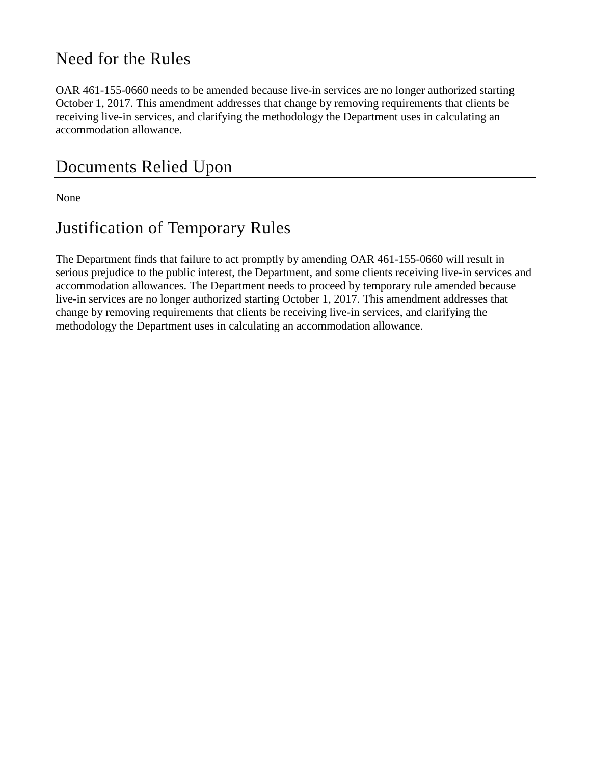## Need for the Rules

OAR 461-155-0660 needs to be amended because live-in services are no longer authorized starting October 1, 2017. This amendment addresses that change by removing requirements that clients be receiving live-in services, and clarifying the methodology the Department uses in calculating an accommodation allowance.

# Documents Relied Upon

None

# Justification of Temporary Rules

The Department finds that failure to act promptly by amending OAR 461-155-0660 will result in serious prejudice to the public interest, the Department, and some clients receiving live-in services and accommodation allowances. The Department needs to proceed by temporary rule amended because live-in services are no longer authorized starting October 1, 2017. This amendment addresses that change by removing requirements that clients be receiving live-in services, and clarifying the methodology the Department uses in calculating an accommodation allowance.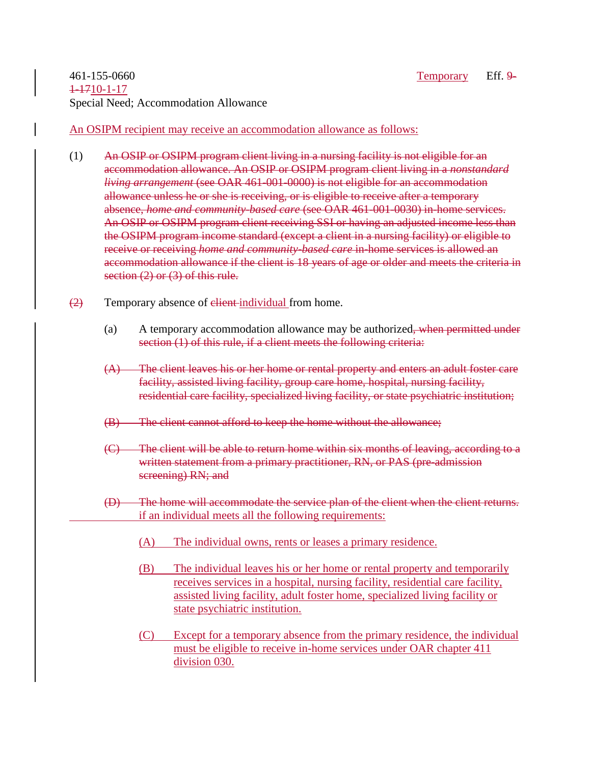### 461-155-0660 Temporary Eff. 9- 1-1710-1-17 Special Need; Accommodation Allowance

An OSIPM recipient may receive an accommodation allowance as follows:

- (1) An OSIP or OSIPM program client living in a nursing facility is not eligible for an accommodation allowance. An OSIP or OSIPM program client living in a *nonstandard living arrangement* (see OAR 461-001-0000) is not eligible for an accommodation allowance unless he or she is receiving, or is eligible to receive after a temporary absence, *home and community-based care* (see OAR 461-001-0030) in-home services. An OSIP or OSIPM program client receiving SSI or having an adjusted income less than the OSIPM program income standard (except a client in a nursing facility) or eligible to receive or receiving *home and community-based care* in-home services is allowed an accommodation allowance if the client is 18 years of age or older and meets the criteria in section (2) or (3) of this rule.
- $\left( \frac{2}{2} \right)$  Temporary absence of elient-individual from home.
	- (a) A temporary accommodation allowance may be authorized<del>, when permitted under</del> section (1) of this rule, if a client meets the following criteria:
	- (A) The client leaves his or her home or rental property and enters an adult foster care facility, assisted living facility, group care home, hospital, nursing facility, residential care facility, specialized living facility, or state psychiatric institution;
	- (B) The client cannot afford to keep the home without the allowance;
	- (C) The client will be able to return home within six months of leaving, according to a written statement from a primary practitioner, RN, or PAS (pre-admission screening) RN; and
	- (D) The home will accommodate the service plan of the client when the client returns. if an individual meets all the following requirements:
		- (A) The individual owns, rents or leases a primary residence.
		- (B) The individual leaves his or her home or rental property and temporarily receives services in a hospital, nursing facility, residential care facility, assisted living facility, adult foster home, specialized living facility or state psychiatric institution.
		- (C) Except for a temporary absence from the primary residence, the individual must be eligible to receive in-home services under OAR chapter 411 division 030.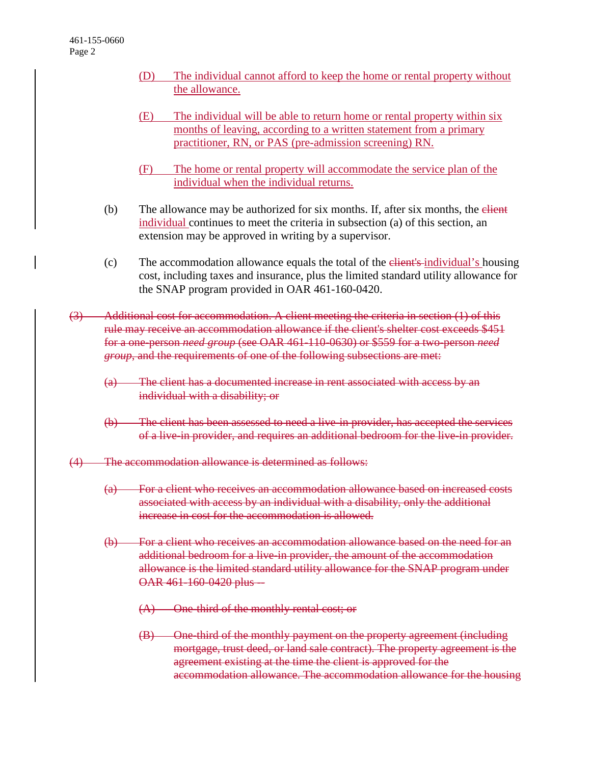- (D) The individual cannot afford to keep the home or rental property without the allowance.
- (E) The individual will be able to return home or rental property within six months of leaving, according to a written statement from a primary practitioner, RN, or PAS (pre-admission screening) RN.
- (F) The home or rental property will accommodate the service plan of the individual when the individual returns.
- (b) The allowance may be authorized for six months. If, after six months, the  $\theta$ individual continues to meet the criteria in subsection (a) of this section, an extension may be approved in writing by a supervisor.
- (c) The accommodation allowance equals the total of the client's individual's housing cost, including taxes and insurance, plus the limited standard utility allowance for the SNAP program provided in OAR 461-160-0420.
- (3) Additional cost for accommodation. A client meeting the criteria in section (1) of this rule may receive an accommodation allowance if the client's shelter cost exceeds \$451 for a one-person *need group* (see OAR 461-110-0630) or \$559 for a two-person *need group*, and the requirements of one of the following subsections are met:
	- (a) The client has a documented increase in rent associated with access by an individual with a disability; or
	- (b) The client has been assessed to need a live-in provider, has accepted the services of a live-in provider, and requires an additional bedroom for the live-in provider.
- (4) The accommodation allowance is determined as follows:
	- (a) For a client who receives an accommodation allowance based on increased costs associated with access by an individual with a disability, only the additional increase in cost for the accommodation is allowed.
	- (b) For a client who receives an accommodation allowance based on the need for an additional bedroom for a live-in provider, the amount of the accommodation allowance is the limited standard utility allowance for the SNAP program under OAR 461-160-0420 plus-
		- (A) One-third of the monthly rental cost; or
		- (B) One-third of the monthly payment on the property agreement (including mortgage, trust deed, or land sale contract). The property agreement is the agreement existing at the time the client is approved for the accommodation allowance. The accommodation allowance for the housing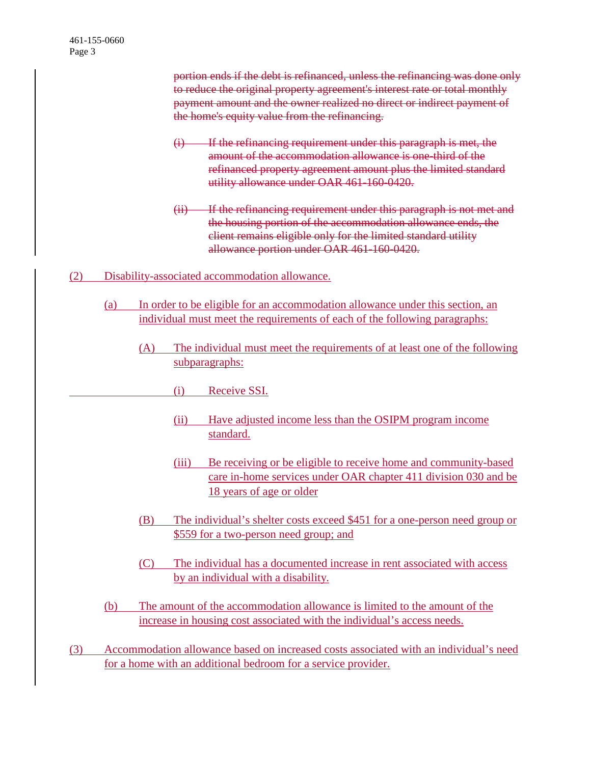portion ends if the debt is refinanced, unless the refinancing was done only to reduce the original property agreement's interest rate or total monthly payment amount and the owner realized no direct or indirect payment of the home's equity value from the refinancing.

- (i) If the refinancing requirement under this paragraph is met, the amount of the accommodation allowance is one-third of the refinanced property agreement amount plus the limited standard utility allowance under OAR 461-160-0420.
- (ii) If the refinancing requirement under this paragraph is not met and the housing portion of the accommodation allowance ends, the client remains eligible only for the limited standard utility allowance portion under OAR 461-160-0420.
- (2) Disability-associated accommodation allowance.
	- (a) In order to be eligible for an accommodation allowance under this section, an individual must meet the requirements of each of the following paragraphs:
		- (A) The individual must meet the requirements of at least one of the following subparagraphs:
			- (i) Receive SSI.
			- (ii) Have adjusted income less than the OSIPM program income standard.
			- (iii) Be receiving or be eligible to receive home and community-based care in-home services under OAR chapter 411 division 030 and be 18 years of age or older
		- (B) The individual's shelter costs exceed \$451 for a one-person need group or \$559 for a two-person need group; and
		- (C) The individual has a documented increase in rent associated with access by an individual with a disability.
	- (b) The amount of the accommodation allowance is limited to the amount of the increase in housing cost associated with the individual's access needs.
- (3) Accommodation allowance based on increased costs associated with an individual's need for a home with an additional bedroom for a service provider.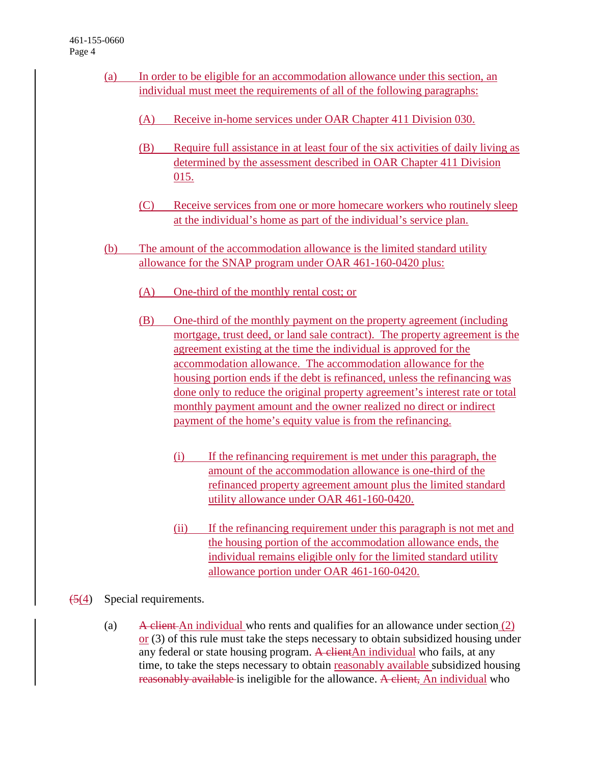- (a) In order to be eligible for an accommodation allowance under this section, an individual must meet the requirements of all of the following paragraphs:
	- (A) Receive in-home services under OAR Chapter 411 Division 030.
	- (B) Require full assistance in at least four of the six activities of daily living as determined by the assessment described in OAR Chapter 411 Division 015.
	- (C) Receive services from one or more homecare workers who routinely sleep at the individual's home as part of the individual's service plan.
- (b) The amount of the accommodation allowance is the limited standard utility allowance for the SNAP program under OAR 461-160-0420 plus:
	- (A) One-third of the monthly rental cost; or
	- (B) One-third of the monthly payment on the property agreement (including mortgage, trust deed, or land sale contract). The property agreement is the agreement existing at the time the individual is approved for the accommodation allowance. The accommodation allowance for the housing portion ends if the debt is refinanced, unless the refinancing was done only to reduce the original property agreement's interest rate or total monthly payment amount and the owner realized no direct or indirect payment of the home's equity value is from the refinancing.
		- (i) If the refinancing requirement is met under this paragraph, the amount of the accommodation allowance is one-third of the refinanced property agreement amount plus the limited standard utility allowance under OAR 461-160-0420.
		- (ii) If the refinancing requirement under this paragraph is not met and the housing portion of the accommodation allowance ends, the individual remains eligible only for the limited standard utility allowance portion under OAR 461-160-0420.
- $\left( \frac{5(4)}{2} \right)$  Special requirements.
	- (a) A client An individual who rents and qualifies for an allowance under section  $(2)$ or (3) of this rule must take the steps necessary to obtain subsidized housing under any federal or state housing program. A clientAn individual who fails, at any time, to take the steps necessary to obtain reasonably available subsidized housing reasonably available is ineligible for the allowance. A client, An individual who